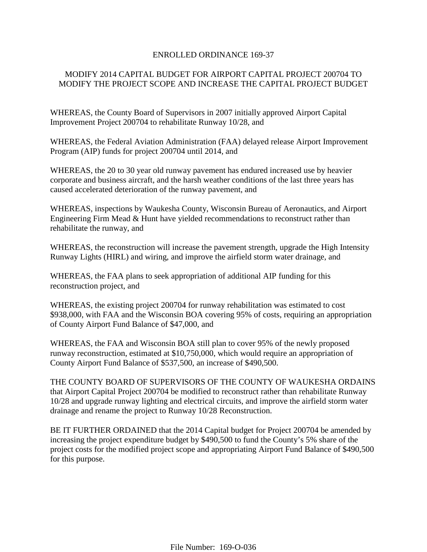## ENROLLED ORDINANCE 169-37

# MODIFY 2014 CAPITAL BUDGET FOR AIRPORT CAPITAL PROJECT 200704 TO MODIFY THE PROJECT SCOPE AND INCREASE THE CAPITAL PROJECT BUDGET

WHEREAS, the County Board of Supervisors in 2007 initially approved Airport Capital Improvement Project 200704 to rehabilitate Runway 10/28, and

WHEREAS, the Federal Aviation Administration (FAA) delayed release Airport Improvement Program (AIP) funds for project 200704 until 2014, and

WHEREAS, the 20 to 30 year old runway pavement has endured increased use by heavier corporate and business aircraft, and the harsh weather conditions of the last three years has caused accelerated deterioration of the runway pavement, and

WHEREAS, inspections by Waukesha County, Wisconsin Bureau of Aeronautics, and Airport Engineering Firm Mead & Hunt have yielded recommendations to reconstruct rather than rehabilitate the runway, and

WHEREAS, the reconstruction will increase the pavement strength, upgrade the High Intensity Runway Lights (HIRL) and wiring, and improve the airfield storm water drainage, and

WHEREAS, the FAA plans to seek appropriation of additional AIP funding for this reconstruction project, and

WHEREAS, the existing project 200704 for runway rehabilitation was estimated to cost \$938,000, with FAA and the Wisconsin BOA covering 95% of costs, requiring an appropriation of County Airport Fund Balance of \$47,000, and

WHEREAS, the FAA and Wisconsin BOA still plan to cover 95% of the newly proposed runway reconstruction, estimated at \$10,750,000, which would require an appropriation of County Airport Fund Balance of \$537,500, an increase of \$490,500.

THE COUNTY BOARD OF SUPERVISORS OF THE COUNTY OF WAUKESHA ORDAINS that Airport Capital Project 200704 be modified to reconstruct rather than rehabilitate Runway 10/28 and upgrade runway lighting and electrical circuits, and improve the airfield storm water drainage and rename the project to Runway 10/28 Reconstruction.

BE IT FURTHER ORDAINED that the 2014 Capital budget for Project 200704 be amended by increasing the project expenditure budget by \$490,500 to fund the County's 5% share of the project costs for the modified project scope and appropriating Airport Fund Balance of \$490,500 for this purpose.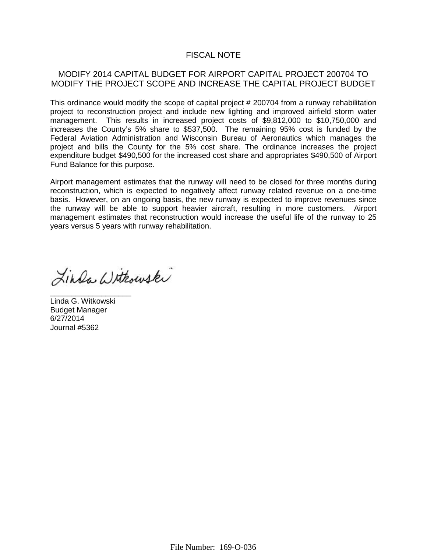# FISCAL NOTE

## MODIFY 2014 CAPITAL BUDGET FOR AIRPORT CAPITAL PROJECT 200704 TO MODIFY THE PROJECT SCOPE AND INCREASE THE CAPITAL PROJECT BUDGET

This ordinance would modify the scope of capital project # 200704 from a runway rehabilitation project to reconstruction project and include new lighting and improved airfield storm water management. This results in increased project costs of \$9,812,000 to \$10,750,000 and increases the County's 5% share to \$537,500. The remaining 95% cost is funded by the Federal Aviation Administration and Wisconsin Bureau of Aeronautics which manages the project and bills the County for the 5% cost share. The ordinance increases the project expenditure budget \$490,500 for the increased cost share and appropriates \$490,500 of Airport Fund Balance for this purpose.

Airport management estimates that the runway will need to be closed for three months during reconstruction, which is expected to negatively affect runway related revenue on a one-time basis. However, on an ongoing basis, the new runway is expected to improve revenues since the runway will be able to support heavier aircraft, resulting in more customers. Airport management estimates that reconstruction would increase the useful life of the runway to 25 years versus 5 years with runway rehabilitation.

Linda Withowski

Linda G. Witkowski Budget Manager 6/27/2014 Journal #5362

\_\_\_\_\_\_\_\_\_\_\_\_\_\_\_\_\_\_\_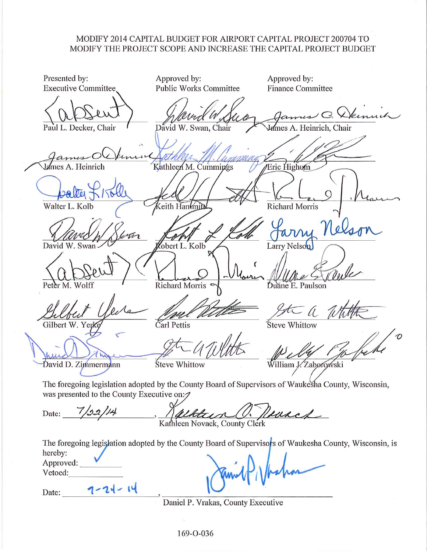## MODIFY 2014 CAPITAL BUDGET FOR AIRPORT CAPITAL PROJECT 200704 TO MODIFY THE PROJECT SCOPE AND INCREASE THE CAPITAL PROJECT BUDGET

Presented by: Approved by: Approved by: **Public Works Committee Executive Committee Finance Committee** ames C. Demuch David W. Swan, Chair Lames A. Heinrich. Chair Paul L. Decker, Chair A. Heinrich Kathleen M. Cummings **Eric Highum** Richard Morris Walter L. Kolb eith Hanimit Larry Nelson David obert L. Kolb **Richard Morris** Peter M. Wolff Duane E. Paulson Carl Pettis Gilbert W. Ye Steve Whittow David D. Zimmermann Steve Whittow William J. Zaborowski The foregoing legislation adopted by the County Board of Supervisors of Waukesha County, Wisconsin, was presented to the County Executive on: ( Nevach Date: Kathleen Novack, County Clerk The foregoing legislation adopted by the County Board of Supervisors of Waukesha County, Wisconsin, is hereby:

Approved: Vetoed:

 $7 - 21 - 14$ Date:

Daniel P. Vrakas, County Executive

169-O-036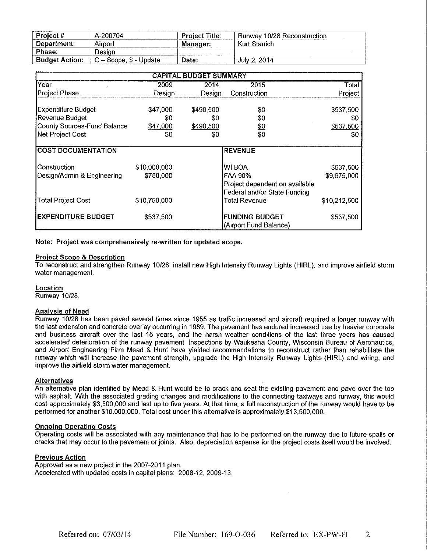| _________________<br>Project # | A-200704               | <b>Project Title:</b> | .   .<br>Runway 10/28 Reconstruction |
|--------------------------------|------------------------|-----------------------|--------------------------------------|
| Department:                    | Airport                | Manager:              | Kurt Stanich                         |
| Phase:                         | Desian                 |                       |                                      |
| <b>Budget Action:</b>          | → – Scope, \$ - Update | Date:                 | July 2, 2014                         |

| <b>CAPITAL BUDGET SUMMARY</b>      |              |                         |                                                                |              |  |  |  |  |  |
|------------------------------------|--------------|-------------------------|----------------------------------------------------------------|--------------|--|--|--|--|--|
| Year                               | 2009         | 2014                    | 2015                                                           | Total        |  |  |  |  |  |
| Project Phase                      | Desian       | Desian                  | Construction                                                   | Project      |  |  |  |  |  |
| Expenditure Budget                 | \$47,000     | \$490,500               | \$0                                                            | \$537,500    |  |  |  |  |  |
| Revenue Budget                     | \$0          | S0                      | \$0                                                            | 80           |  |  |  |  |  |
| <b>County Sources-Fund Balance</b> | \$47,000     | <u>\$0</u><br>\$490,500 |                                                                | \$537,500    |  |  |  |  |  |
| Net Project Cost                   | \$0          | \$0                     | \$0                                                            | \$0          |  |  |  |  |  |
| <b>COST DOCUMENTATION</b>          |              |                         | <b>REVENUE</b>                                                 |              |  |  |  |  |  |
| Construction                       | \$10,000,000 |                         | WI BOA                                                         | \$537,500    |  |  |  |  |  |
| Design/Admin & Engineering         | \$750,000    |                         | <b>FAA 90%</b>                                                 | \$9,675,000  |  |  |  |  |  |
|                                    |              |                         | Project dependent on available<br>Federal and/or State Funding |              |  |  |  |  |  |
| <b>Total Project Cost</b>          | \$10,750,000 |                         | Total Revenue                                                  | \$10,212,500 |  |  |  |  |  |
| <b>EXPENDITURE BUDGET</b>          | \$537,500    |                         | <b>FUNDING BUDGET</b><br>(Airport Fund Balance)                | \$537,500    |  |  |  |  |  |

Note: Project was comprehensively re-written for updated scope.

### **Project Scope & Description**

To reconstruct and strengthen Runway 10/28, install new High Intensity Runway Lights (HIRL), and improve airfield storm water management.

## Location

Runway 10/28.

### **Analysis of Need**

Runway 10/28 has been paved several times since 1955 as traffic increased and aircraft required a longer runway with the last extension and concrete overlay occurring in 1989. The pavement has endured increased use by heavier corporate and business aircraft over the last 15 years, and the harsh weather conditions of the last three years has caused accelerated deterioration of the runway pavement. Inspections by Waukesha County, Wisconsin Bureau of Aeronautics, and Airport Engineering Firm Mead & Hunt have yielded recommendations to reconstruct rather than rehabilitate the runway which will increase the pavement strength, upgrade the High Intensity Runway Lights (HIRL) and wiring, and improve the airfield storm water management.

### **Alternatives**

An alternative plan identified by Mead & Hunt would be to crack and seat the existing pavement and pave over the top with asphalt. With the associated grading changes and modifications to the connecting taxiways and runway, this would cost approximately \$3,500,000 and last up to five years. At that time, a full reconstruction of the runway would have to be performed for another \$10,000,000. Total cost under this alternative is approximately \$13,500,000.

### **Ongoing Operating Costs**

Operating costs will be associated with any maintenance that has to be performed on the runway due to future spalls or cracks that may occur to the pavement or joints. Also, depreciation expense for the project costs itself would be involved.

### **Previous Action**

Approved as a new project in the 2007-2011 plan. Accelerated with updated costs in capital plans: 2008-12, 2009-13.